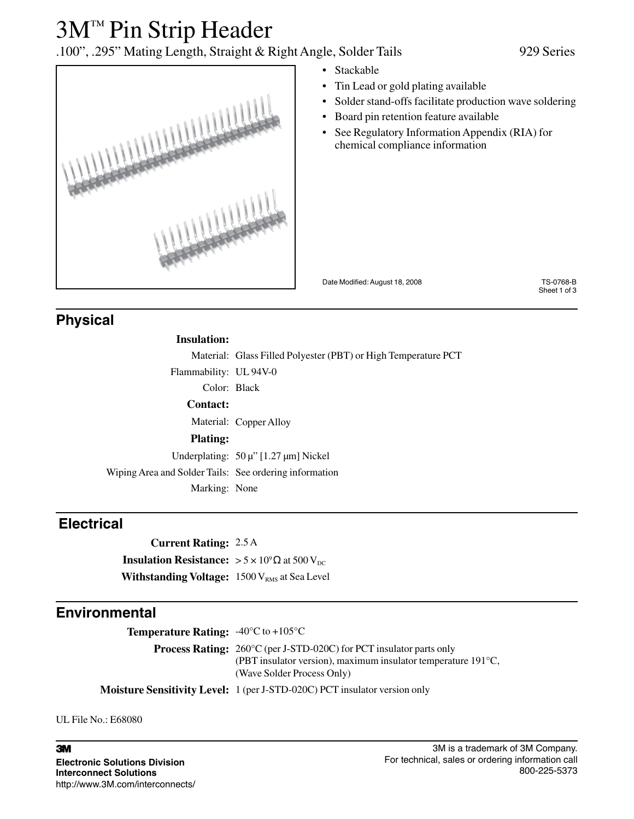## 3M™ Pin Strip Header

### .100", .295" Mating Length, Straight & Right Angle, Solder Tails 929 Series

**ITTLESSAN** 

- Stackable
- Tin Lead or gold plating available
- Solder stand-offs facilitate production wave soldering
- Board pin retention feature available
- See Regulatory Information Appendix (RIA) for chemical compliance information

Date Modified: August 18, 2008 TS-0768-B

Sheet 1 of 3

### **Physical**

#### **Insulation:**

Material: Glass Filled Polyester (PBT) or High Temperature PCT Flammability: UL 94V-0 Color: Black **Contact:** Material: Copper Alloy **Plating:** Underplating: 50 μ" [1.27 μm] Nickel Wiping Area and Solder Tails: See ordering information Marking: None

### **Electrical**

**Current Rating:** 2.5 A

**Insulation Resistance:**  $> 5 \times 10^9 \Omega$  at 500 V<sub>DC</sub> **Withstanding Voltage:** 1500 V<sub>RMS</sub> at Sea Level

### **Environmental**

**Temperature Rating:** -40°C to +105°C **Process Rating:** 260°C (per J-STD-020C) for PCT insulator parts only (PBT insulator version), maximum insulator temperature 191°C, (Wave Solder Process Only) **Moisture Sensitivity Level:** 1 (per J-STD-020C) PCT insulator version only

UL File No.: E68080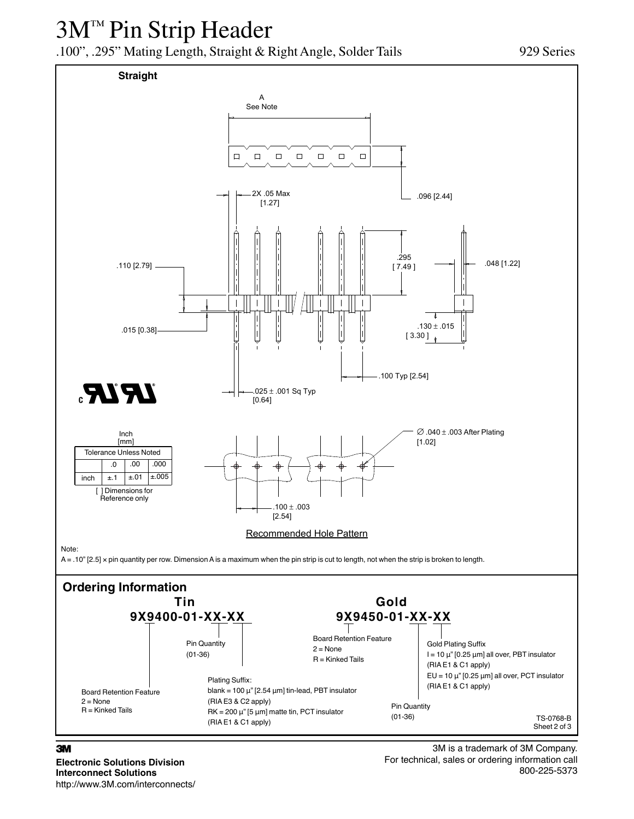# 3M™ Pin Strip Header

.100", .295" Mating Length, Straight & Right Angle, Solder Tails 929 Series



#### 3

**Electronic Solutions Division Interconnect Solutions** http://www.3M.com/interconnects/

3M is a trademark of 3M Company. For technical, sales or ordering information call 800-225-5373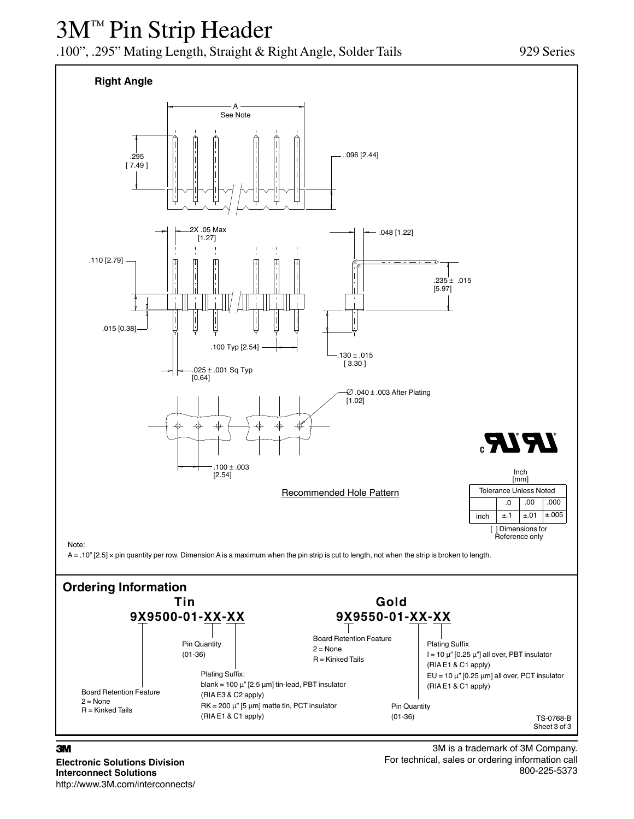# 3M™ Pin Strip Header

.100", .295" Mating Length, Straight & Right Angle, Solder Tails 929 Series



**Electronic Solutions Division Interconnect Solutions** http://www.3M.com/interconnects/

3M is a trademark of 3M Company. For technical, sales or ordering information call 800-225-5373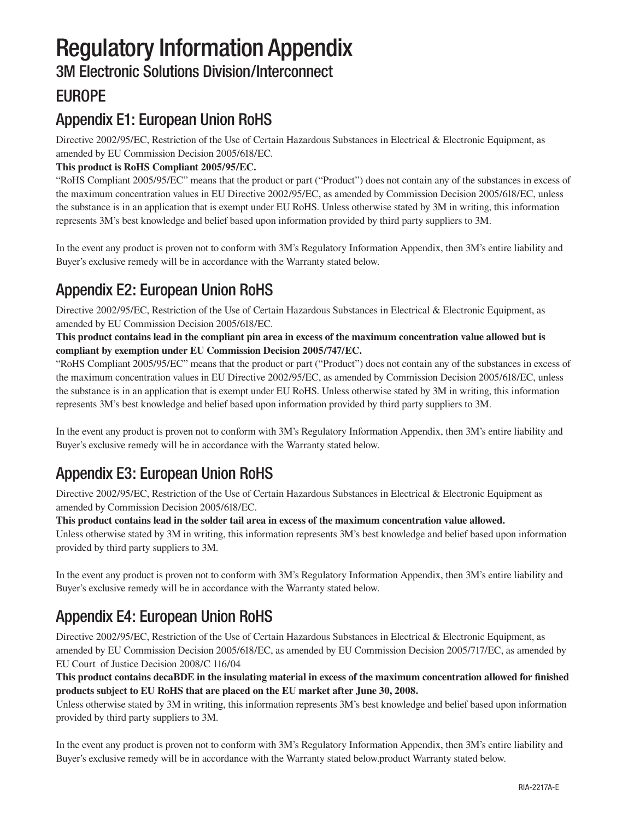# Regulatory Information Appendix

3M Electronic Solutions Division/Interconnect

### EUROPE

### Appendix E1: European Union RoHS

Directive 2002/95/EC, Restriction of the Use of Certain Hazardous Substances in Electrical & Electronic Equipment, as amended by EU Commission Decision 2005/618/EC.

#### **This product is RoHS Compliant 2005/95/EC.**

"RoHS Compliant 2005/95/EC" means that the product or part ("Product") does not contain any of the substances in excess of the maximum concentration values in EU Directive 2002/95/EC, as amended by Commission Decision 2005/618/EC, unless the substance is in an application that is exempt under EU RoHS. Unless otherwise stated by 3M in writing, this information represents 3M's best knowledge and belief based upon information provided by third party suppliers to 3M.

In the event any product is proven not to conform with 3M's Regulatory Information Appendix, then 3M's entire liability and Buyer's exclusive remedy will be in accordance with the Warranty stated below.

### Appendix E2: European Union RoHS

Directive 2002/95/EC, Restriction of the Use of Certain Hazardous Substances in Electrical & Electronic Equipment, as amended by EU Commission Decision 2005/618/EC.

**This product contains lead in the compliant pin area in excess of the maximum concentration value allowed but is compliant by exemption under EU Commission Decision 2005/747/EC.**

"RoHS Compliant 2005/95/EC" means that the product or part ("Product") does not contain any of the substances in excess of the maximum concentration values in EU Directive 2002/95/EC, as amended by Commission Decision 2005/618/EC, unless the substance is in an application that is exempt under EU RoHS. Unless otherwise stated by 3M in writing, this information represents 3M's best knowledge and belief based upon information provided by third party suppliers to 3M.

In the event any product is proven not to conform with 3M's Regulatory Information Appendix, then 3M's entire liability and Buyer's exclusive remedy will be in accordance with the Warranty stated below.

### Appendix E3: European Union RoHS

Directive 2002/95/EC, Restriction of the Use of Certain Hazardous Substances in Electrical & Electronic Equipment as amended by Commission Decision 2005/618/EC.

#### **This product contains lead in the solder tail area in excess of the maximum concentration value allowed.**

Unless otherwise stated by 3M in writing, this information represents 3M's best knowledge and belief based upon information provided by third party suppliers to 3M.

In the event any product is proven not to conform with 3M's Regulatory Information Appendix, then 3M's entire liability and Buyer's exclusive remedy will be in accordance with the Warranty stated below.

### Appendix E4: European Union RoHS

Directive 2002/95/EC, Restriction of the Use of Certain Hazardous Substances in Electrical & Electronic Equipment, as amended by EU Commission Decision 2005/618/EC, as amended by EU Commission Decision 2005/717/EC, as amended by EU Court of Justice Decision 2008/C 116/04

**This product contains decaBDE in the insulating material in excess of the maximum concentration allowed for finished products subject to EU RoHS that are placed on the EU market after June 30, 2008.**

Unless otherwise stated by 3M in writing, this information represents 3M's best knowledge and belief based upon information provided by third party suppliers to 3M.

In the event any product is proven not to conform with 3M's Regulatory Information Appendix, then 3M's entire liability and Buyer's exclusive remedy will be in accordance with the Warranty stated below.product Warranty stated below.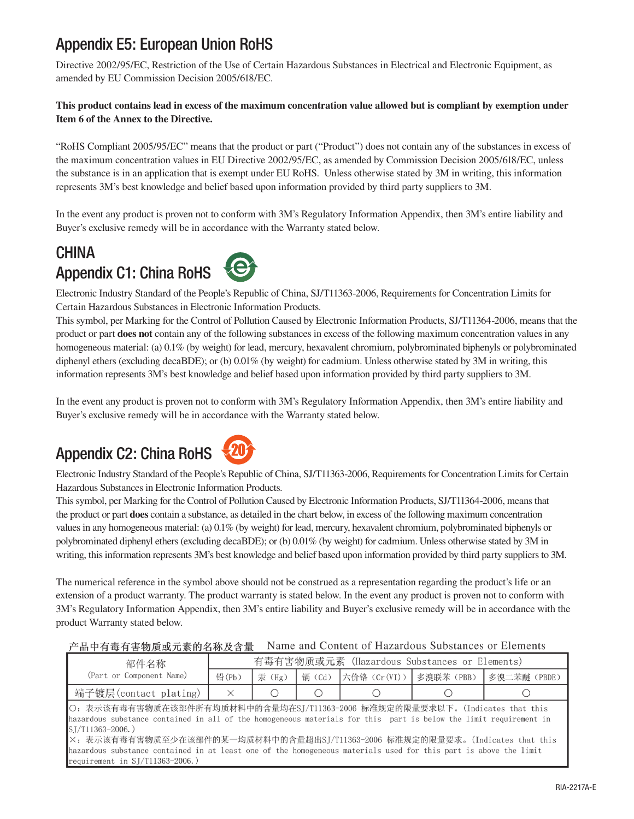### Appendix E5: European Union RoHS

Directive 2002/95/EC, Restriction of the Use of Certain Hazardous Substances in Electrical and Electronic Equipment, as amended by EU Commission Decision 2005/618/EC.

#### **This product contains lead in excess of the maximum concentration value allowed but is compliant by exemption under Item 6 of the Annex to the Directive.**

"RoHS Compliant 2005/95/EC" means that the product or part ("Product") does not contain any of the substances in excess of the maximum concentration values in EU Directive 2002/95/EC, as amended by Commission Decision 2005/618/EC, unless the substance is in an application that is exempt under EU RoHS. Unless otherwise stated by 3M in writing, this information represents 3M's best knowledge and belief based upon information provided by third party suppliers to 3M.

In the event any product is proven not to conform with 3M's Regulatory Information Appendix, then 3M's entire liability and Buyer's exclusive remedy will be in accordance with the Warranty stated below.

### **CHINA** Appendix C1: China RoHS

Electronic Industry Standard of the People's Republic of China, SJ/T11363-2006, Requirements for Concentration Limits for Certain Hazardous Substances in Electronic Information Products.

This symbol, per Marking for the Control of Pollution Caused by Electronic Information Products, SJ/T11364-2006, means that the product or part **does not** contain any of the following substances in excess of the following maximum concentration values in any homogeneous material: (a) 0.1% (by weight) for lead, mercury, hexavalent chromium, polybrominated biphenyls or polybrominated diphenyl ethers (excluding decaBDE); or (b) 0.01% (by weight) for cadmium. Unless otherwise stated by 3M in writing, this information represents 3M's best knowledge and belief based upon information provided by third party suppliers to 3M.

In the event any product is proven not to conform with 3M's Regulatory Information Appendix, then 3M's entire liability and Buyer's exclusive remedy will be in accordance with the Warranty stated below.

### Appendix C2: China RoHS



Electronic Industry Standard of the People's Republic of China, SJ/T11363-2006, Requirements for Concentration Limits for Certain Hazardous Substances in Electronic Information Products.

This symbol, per Marking for the Control of Pollution Caused by Electronic Information Products, SJ/T11364-2006, means that the product or part **does** contain a substance, as detailed in the chart below, in excess of the following maximum concentration values in any homogeneous material: (a) 0.1% (by weight) for lead, mercury, hexavalent chromium, polybrominated biphenyls or polybrominated diphenyl ethers (excluding decaBDE); or (b) 0.01% (by weight) for cadmium. Unless otherwise stated by 3M in writing, this information represents 3M's best knowledge and belief based upon information provided by third party suppliers to 3M.

The numerical reference in the symbol above should not be construed as a representation regarding the product's life or an extension of a product warranty. The product warranty is stated below. In the event any product is proven not to conform with 3M's Regulatory Information Appendix, then 3M's entire liability and Buyer's exclusive remedy will be in accordance with the product Warranty stated below.

#### Name and Content of Hazardous Substances or Elements 产品中有毒有害物质或元素的名称及含量

| 部件名称                                                                                                                                                                                                                                                                                                                                                                                                                                                                | 有毒有害物质或元素 (Hazardous Substances or Elements) |        |                        |                           |  |             |  |  |  |
|---------------------------------------------------------------------------------------------------------------------------------------------------------------------------------------------------------------------------------------------------------------------------------------------------------------------------------------------------------------------------------------------------------------------------------------------------------------------|----------------------------------------------|--------|------------------------|---------------------------|--|-------------|--|--|--|
| (Part or Component Name)                                                                                                                                                                                                                                                                                                                                                                                                                                            | 铅(Pb)                                        | 汞 (Hg) | 镉 (Cd)                 | 六价铬 (Cr(VI))   多溴联苯 (PBB) |  | 多溴二苯醚(PBDE) |  |  |  |
| 端子镀层(contact plating)                                                                                                                                                                                                                                                                                                                                                                                                                                               | $\times$                                     |        | $\left( \quad \right)$ | U                         |  |             |  |  |  |
| ○: 表示该有毒有害物质在该部件所有均质材料中的含量均在SJ/T11363-2006 标准规定的限量要求以下。(Indicates that this<br>hazardous substance contained in all of the homogeneous materials for this part is below the limit requirement in<br>$S/I/11363-2006.$ )<br>X: 表示该有毒有害物质至少在该部件的某一均质材料中的含量超出SJ/T11363-2006 标准规定的限量要求。(Indicates that this<br>hazardous substance contained in at least one of the homogeneous materials used for this part is above the limit<br>$r$ equirement in $SI/T11363-2006$ ) |                                              |        |                        |                           |  |             |  |  |  |